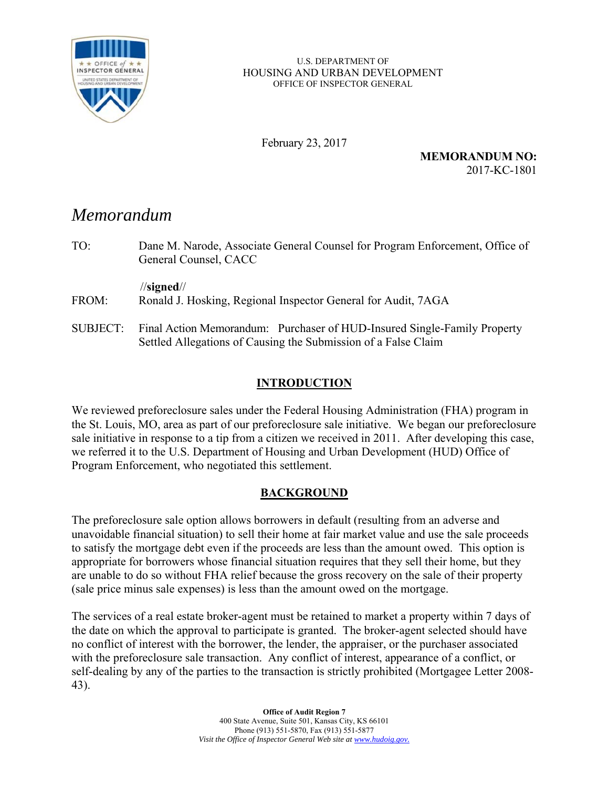

#### U.S. DEPARTMENT OF HOUSING AND URBAN DEVELOPMENT OFFICE OF INSPECTOR GENERAL

February 23, 2017

**MEMORANDUM NO:**  2017-KC-1801

# *Memorandum*

TO: Dane M. Narode, Associate General Counsel for Program Enforcement, Office of General Counsel, CACC //**signed**// FROM: Ronald J. Hosking, Regional Inspector General for Audit, 7AGA SUBJECT: Final Action Memorandum: Purchaser of HUD-Insured Single-Family Property Settled Allegations of Causing the Submission of a False Claim

# **INTRODUCTION**

We reviewed preforeclosure sales under the Federal Housing Administration (FHA) program in the St. Louis, MO, area as part of our preforeclosure sale initiative. We began our preforeclosure sale initiative in response to a tip from a citizen we received in 2011. After developing this case, we referred it to the U.S. Department of Housing and Urban Development (HUD) Office of Program Enforcement, who negotiated this settlement.

## **BACKGROUND**

The preforeclosure sale option allows borrowers in default (resulting from an adverse and unavoidable financial situation) to sell their home at fair market value and use the sale proceeds to satisfy the mortgage debt even if the proceeds are less than the amount owed. This option is appropriate for borrowers whose financial situation requires that they sell their home, but they are unable to do so without FHA relief because the gross recovery on the sale of their property (sale price minus sale expenses) is less than the amount owed on the mortgage.

The services of a real estate broker-agent must be retained to market a property within 7 days of the date on which the approval to participate is granted. The broker-agent selected should have no conflict of interest with the borrower, the lender, the appraiser, or the purchaser associated with the preforeclosure sale transaction. Any conflict of interest, appearance of a conflict, or self-dealing by any of the parties to the transaction is strictly prohibited (Mortgagee Letter 2008- 43).